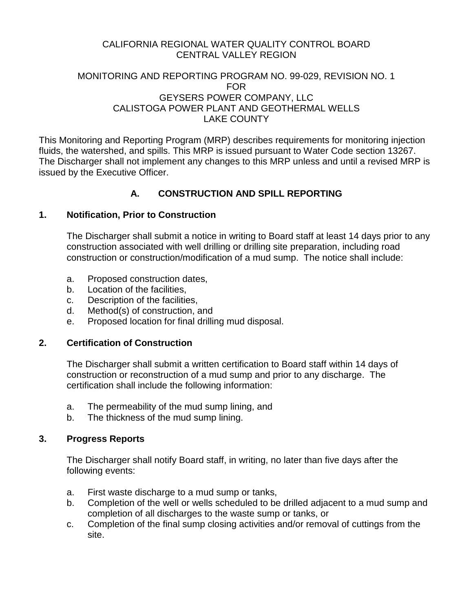# CALIFORNIA REGIONAL WATER QUALITY CONTROL BOARD CENTRAL VALLEY REGION

### MONITORING AND REPORTING PROGRAM NO. 99-029, REVISION NO. 1 FOR GEYSERS POWER COMPANY, LLC CALISTOGA POWER PLANT AND GEOTHERMAL WELLS LAKE COUNTY

This Monitoring and Reporting Program (MRP) describes requirements for monitoring injection fluids, the watershed, and spills. This MRP is issued pursuant to Water Code section 13267. The Discharger shall not implement any changes to this MRP unless and until a revised MRP is issued by the Executive Officer.

# **A. CONSTRUCTION AND SPILL REPORTING**

### **1. Notification, Prior to Construction**

The Discharger shall submit a notice in writing to Board staff at least 14 days prior to any construction associated with well drilling or drilling site preparation, including road construction or construction/modification of a mud sump. The notice shall include:

- a. Proposed construction dates,
- b. Location of the facilities,
- c. Description of the facilities,
- d. Method(s) of construction, and
- e. Proposed location for final drilling mud disposal.

### **2. Certification of Construction**

The Discharger shall submit a written certification to Board staff within 14 days of construction or reconstruction of a mud sump and prior to any discharge. The certification shall include the following information:

- a. The permeability of the mud sump lining, and
- b. The thickness of the mud sump lining.

# **3. Progress Reports**

The Discharger shall notify Board staff, in writing, no later than five days after the following events:

- a. First waste discharge to a mud sump or tanks,
- b. Completion of the well or wells scheduled to be drilled adjacent to a mud sump and completion of all discharges to the waste sump or tanks, or
- c. Completion of the final sump closing activities and/or removal of cuttings from the site.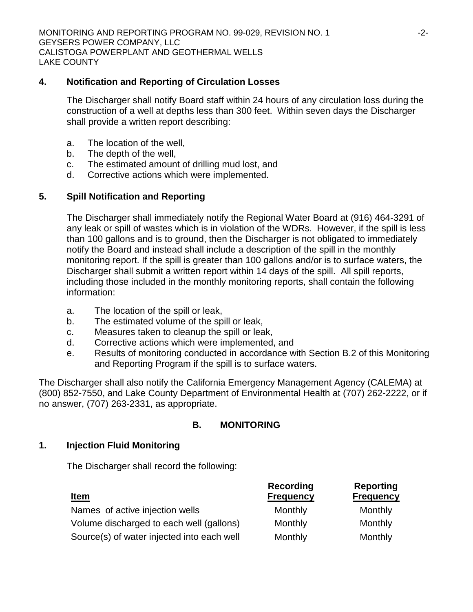### **4. Notification and Reporting of Circulation Losses**

The Discharger shall notify Board staff within 24 hours of any circulation loss during the construction of a well at depths less than 300 feet. Within seven days the Discharger shall provide a written report describing:

- a. The location of the well,
- b. The depth of the well,
- c. The estimated amount of drilling mud lost, and
- d. Corrective actions which were implemented.

# **5. Spill Notification and Reporting**

The Discharger shall immediately notify the Regional Water Board at (916) 464-3291 of any leak or spill of wastes which is in violation of the WDRs. However, if the spill is less than 100 gallons and is to ground, then the Discharger is not obligated to immediately notify the Board and instead shall include a description of the spill in the monthly monitoring report. If the spill is greater than 100 gallons and/or is to surface waters, the Discharger shall submit a written report within 14 days of the spill. All spill reports, including those included in the monthly monitoring reports, shall contain the following information:

- a. The location of the spill or leak,
- b. The estimated volume of the spill or leak,
- c. Measures taken to cleanup the spill or leak,
- d. Corrective actions which were implemented, and
- e. Results of monitoring conducted in accordance with Section B.2 of this Monitoring and Reporting Program if the spill is to surface waters.

The Discharger shall also notify the California Emergency Management Agency (CALEMA) at (800) 852-7550, and Lake County Department of Environmental Health at (707) 262-2222, or if no answer, (707) 263-2331, as appropriate.

# **B. MONITORING**

# **1. Injection Fluid Monitoring**

The Discharger shall record the following:

| <u>Item</u>                                | Recording<br><b>Frequency</b> | <b>Reporting</b><br><b>Frequency</b> |
|--------------------------------------------|-------------------------------|--------------------------------------|
| Names of active injection wells            | Monthly                       | Monthly                              |
| Volume discharged to each well (gallons)   | Monthly                       | Monthly                              |
| Source(s) of water injected into each well | Monthly                       | Monthly                              |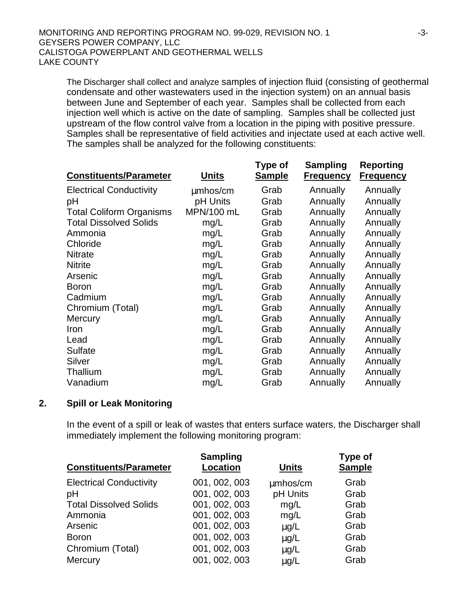The Discharger shall collect and analyze samples of injection fluid (consisting of geothermal condensate and other wastewaters used in the injection system) on an annual basis between June and September of each year. Samples shall be collected from each injection well which is active on the date of sampling. Samples shall be collected just upstream of the flow control valve from a location in the piping with positive pressure. Samples shall be representative of field activities and injectate used at each active well. The samples shall be analyzed for the following constituents:

|                                 |              | Type of       | Sampling         | <b>Reporting</b> |
|---------------------------------|--------------|---------------|------------------|------------------|
| <b>Constituents/Parameter</b>   | <b>Units</b> | <b>Sample</b> | <b>Frequency</b> | <b>Frequency</b> |
| <b>Electrical Conductivity</b>  | mmhos/cm     | Grab          | Annually         | Annually         |
| pH                              | pH Units     | Grab          | Annually         | Annually         |
| <b>Total Coliform Organisms</b> | MPN/100 mL   | Grab          | Annually         | Annually         |
| <b>Total Dissolved Solids</b>   | mg/L         | Grab          | Annually         | Annually         |
| Ammonia                         | mg/L         | Grab          | Annually         | Annually         |
| Chloride                        | mg/L         | Grab          | Annually         | Annually         |
| <b>Nitrate</b>                  | mg/L         | Grab          | Annually         | Annually         |
| <b>Nitrite</b>                  | mg/L         | Grab          | Annually         | Annually         |
| Arsenic                         | mg/L         | Grab          | Annually         | Annually         |
| <b>Boron</b>                    | mg/L         | Grab          | Annually         | Annually         |
| Cadmium                         | mg/L         | Grab          | Annually         | Annually         |
| Chromium (Total)                | mg/L         | Grab          | Annually         | Annually         |
| Mercury                         | mg/L         | Grab          | Annually         | Annually         |
| Iron                            | mg/L         | Grab          | Annually         | Annually         |
| Lead                            | mg/L         | Grab          | Annually         | Annually         |
| <b>Sulfate</b>                  | mg/L         | Grab          | Annually         | Annually         |
| Silver                          | mg/L         | Grab          | Annually         | Annually         |
| Thallium                        | mg/L         | Grab          | Annually         | Annually         |
| Vanadium                        | mg/L         | Grab          | Annually         | Annually         |

### **2. Spill or Leak Monitoring**

In the event of a spill or leak of wastes that enters surface waters, the Discharger shall immediately implement the following monitoring program:

| <b>Sampling</b><br><b>Location</b> | <b>Units</b> | <b>Type of</b><br><b>Sample</b> |
|------------------------------------|--------------|---------------------------------|
| 001, 002, 003                      | mmhos/cm     | Grab                            |
| 001, 002, 003                      | pH Units     | Grab                            |
| 001, 002, 003                      | mg/L         | Grab                            |
| 001, 002, 003                      | mg/L         | Grab                            |
| 001, 002, 003                      | mg/L         | Grab                            |
| 001, 002, 003                      | mg/L         | Grab                            |
| 001, 002, 003                      | mg/L         | Grab                            |
| 001, 002, 003                      | mg/L         | Grab                            |
|                                    |              |                                 |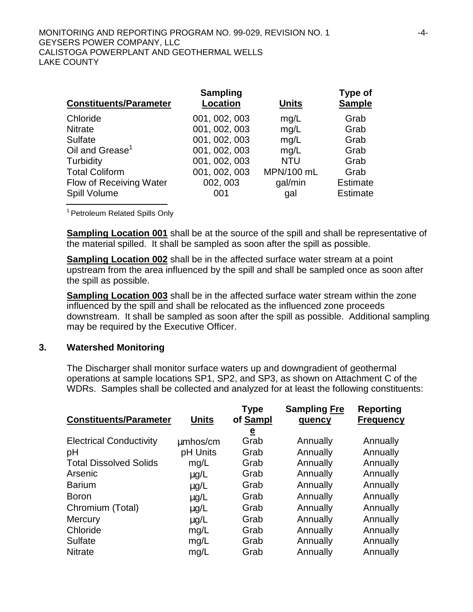| <b>Constituents/Parameter</b> | <b>Sampling</b><br><b>Location</b> | <b>Units</b> | Type of<br><b>Sample</b> |
|-------------------------------|------------------------------------|--------------|--------------------------|
| Chloride                      | 001, 002, 003                      | mg/L         | Grab                     |
| <b>Nitrate</b>                | 001, 002, 003                      | mg/L         | Grab                     |
| <b>Sulfate</b>                | 001, 002, 003                      | mg/L         | Grab                     |
| Oil and Grease <sup>1</sup>   | 001, 002, 003                      | mg/L         | Grab                     |
| Turbidity                     | 001, 002, 003                      | <b>NTU</b>   | Grab                     |
| <b>Total Coliform</b>         | 001, 002, 003                      | MPN/100 mL   | Grab                     |
| Flow of Receiving Water       | 002, 003                           | gal/min      | <b>Estimate</b>          |
| Spill Volume                  | 001                                | gal          | <b>Estimate</b>          |

<sup>1</sup> Petroleum Related Spills Only

**Sampling Location 001** shall be at the source of the spill and shall be representative of the material spilled. It shall be sampled as soon after the spill as possible.

**Sampling Location 002** shall be in the affected surface water stream at a point upstream from the area influenced by the spill and shall be sampled once as soon after the spill as possible.

**Sampling Location 003** shall be in the affected surface water stream within the zone influenced by the spill and shall be relocated as the influenced zone proceeds downstream. It shall be sampled as soon after the spill as possible. Additional sampling may be required by the Executive Officer.

#### **3. Watershed Monitoring**

The Discharger shall monitor surface waters up and downgradient of geothermal operations at sample locations SP1, SP2, and SP3, as shown on Attachment C of the WDRs. Samples shall be collected and analyzed for at least the following constituents:

| <b>Constituents/Parameter</b>  | <b>Units</b> | <b>Type</b><br>of Sampl | <b>Sampling Fre</b><br>quency | Reporting<br><b>Frequency</b> |
|--------------------------------|--------------|-------------------------|-------------------------------|-------------------------------|
|                                |              | $\overline{\mathbf{e}}$ |                               |                               |
| <b>Electrical Conductivity</b> | mmhos/cm     | Grab                    | Annually                      | Annually                      |
| pH                             | pH Units     | Grab                    | Annually                      | Annually                      |
| <b>Total Dissolved Solids</b>  | mg/L         | Grab                    | Annually                      | Annually                      |
| Arsenic                        | mq/L         | Grab                    | Annually                      | Annually                      |
| <b>Barium</b>                  | mg/L         | Grab                    | Annually                      | Annually                      |
| <b>Boron</b>                   | mg/L         | Grab                    | Annually                      | Annually                      |
| Chromium (Total)               | mg/L         | Grab                    | Annually                      | Annually                      |
| <b>Mercury</b>                 | mg/L         | Grab                    | Annually                      | Annually                      |
| Chloride                       | mg/L         | Grab                    | Annually                      | Annually                      |
| <b>Sulfate</b>                 | mg/L         | Grab                    | Annually                      | Annually                      |
| <b>Nitrate</b>                 | mq/L         | Grab                    | Annually                      | Annually                      |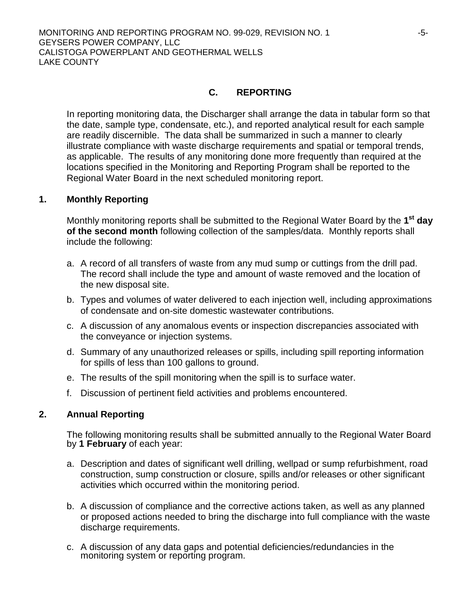### **C. REPORTING**

In reporting monitoring data, the Discharger shall arrange the data in tabular form so that the date, sample type, condensate, etc.), and reported analytical result for each sample are readily discernible. The data shall be summarized in such a manner to clearly illustrate compliance with waste discharge requirements and spatial or temporal trends, as applicable. The results of any monitoring done more frequently than required at the locations specified in the Monitoring and Reporting Program shall be reported to the Regional Water Board in the next scheduled monitoring report.

#### **1. Monthly Reporting**

Monthly monitoring reports shall be submitted to the Regional Water Board by the **1st day of the second month** following collection of the samples/data. Monthly reports shall include the following:

- a. A record of all transfers of waste from any mud sump or cuttings from the drill pad. The record shall include the type and amount of waste removed and the location of the new disposal site.
- b. Types and volumes of water delivered to each injection well, including approximations of condensate and on-site domestic wastewater contributions.
- c. A discussion of any anomalous events or inspection discrepancies associated with the conveyance or injection systems.
- d. Summary of any unauthorized releases or spills, including spill reporting information for spills of less than 100 gallons to ground.
- e. The results of the spill monitoring when the spill is to surface water.
- f. Discussion of pertinent field activities and problems encountered.

### **2. Annual Reporting**

The following monitoring results shall be submitted annually to the Regional Water Board by **1 February** of each year:

- a. Description and dates of significant well drilling, wellpad or sump refurbishment, road construction, sump construction or closure, spills and/or releases or other significant activities which occurred within the monitoring period.
- b. A discussion of compliance and the corrective actions taken, as well as any planned or proposed actions needed to bring the discharge into full compliance with the waste discharge requirements.
- c. A discussion of any data gaps and potential deficiencies/redundancies in the monitoring system or reporting program.